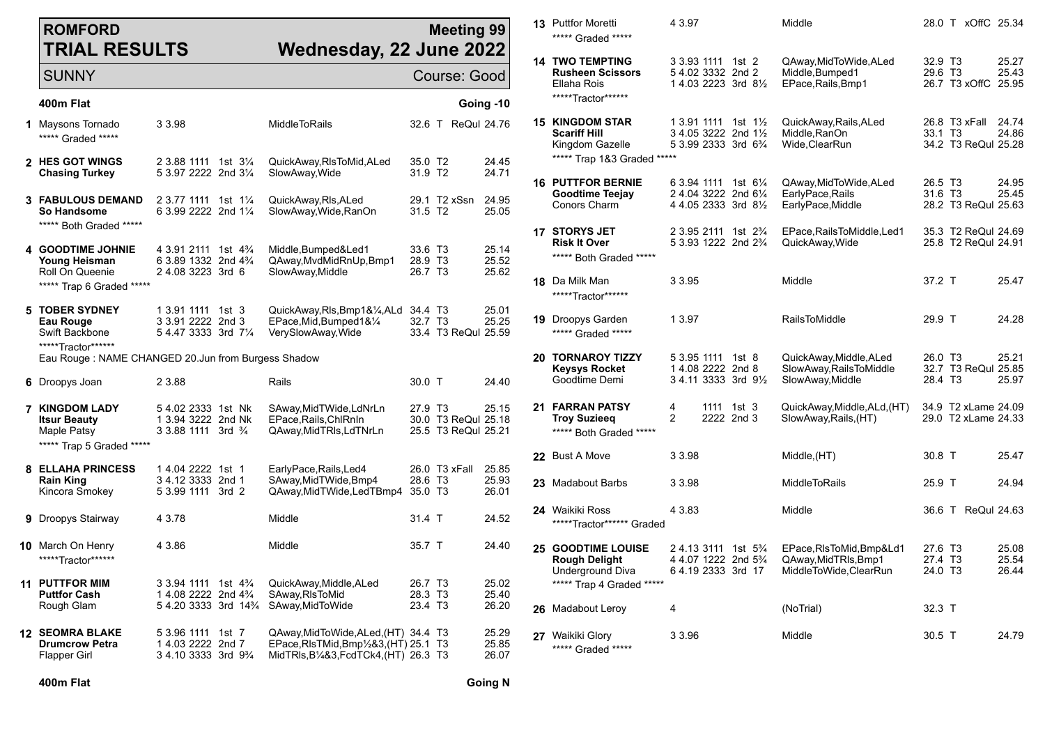## **ROMFORD TRIAL RESULTS**

## **Meeting 99 Wednesday, 22 June 2022**

| <b>SUNNY</b>                                                                                                                |                                                                                                               | Course: Good       |                                                                                                                                                       |                                           |                                            |                         |
|-----------------------------------------------------------------------------------------------------------------------------|---------------------------------------------------------------------------------------------------------------|--------------------|-------------------------------------------------------------------------------------------------------------------------------------------------------|-------------------------------------------|--------------------------------------------|-------------------------|
| 400m Flat                                                                                                                   |                                                                                                               |                    |                                                                                                                                                       |                                           |                                            | Going -10               |
| 1 Maysons Tornado<br>***** Graded *****                                                                                     | 3 3.98                                                                                                        |                    | MiddleToRails                                                                                                                                         |                                           | 32.6 T ReQul 24.76                         |                         |
| 2 HES GOT WINGS<br>Chasing Turkey                                                                                           | 2 3.88 1111<br>5 3.97 2222 2nd 31/4                                                                           | 1st 3½             | QuickAway,RIsToMid,ALed<br>SlowAway,Wide                                                                                                              | 35.0 T <sub>2</sub><br>31.9 T2            |                                            | 24.45<br>24.71          |
| <b>3 FABULOUS DEMAND</b><br>So Handsome<br>***** Both Graded *****                                                          | 2 3.77 1111<br>6 3.99 2222 2nd 11/4                                                                           | 1st $1\frac{1}{4}$ | QuickAway,RIs,ALed<br>SlowAway, Wide, RanOn                                                                                                           | 31.5 T <sub>2</sub>                       | 29.1 T2 xSsn                               | 24.95<br>25.05          |
| 4 GOODTIME JOHNIE<br>Young Heisman<br>Roll On Queenie<br>***** Trap 6 Graded *****                                          | 4 3.91 2111<br>6 3.89 1332 2nd 4 <sup>3</sup> / <sub>4</sub><br>24.083223 3rd 6                               | 1st $4\frac{3}{4}$ | Middle,Bumped&Led1<br>QAway, MvdMidRnUp, Bmp1<br>SlowAway, Middle                                                                                     | 33.6 T3<br>28.9 T3<br>26.7 T <sub>3</sub> |                                            | 25.14<br>25.52<br>25.62 |
| 5 TOBER SYDNEY<br>Eau Rouge<br>Swift Backbone<br>******Tractor*******<br>Eau Rouge: NAME CHANGED 20.Jun from Burgess Shadow | 1 3.91 1111<br>3 3.91 2222 2nd 3<br>5 4.47 3333 3rd 71/4                                                      | 1st $3$            | QuickAway,RIs,Bmp1&¼,ALd 34.4 T3<br>EPace, Mid, Bumped 1& 1/4<br>VerySlowAway, Wide                                                                   | 32.7 T3                                   | 33.4 T3 ReQul 25.59                        | 25.01<br>25.25          |
| 6 Droopys Joan                                                                                                              | 2 3.88                                                                                                        |                    | Rails                                                                                                                                                 | 30.0 T                                    |                                            | 24.40                   |
| <b>7 KINGDOM LADY</b><br><b>Itsur Beauty</b><br>Maple Patsy<br>***** Trap 5 Graded *****                                    | 54.02 2333 1st Nk<br>1 3.94 3222 2nd Nk<br>3 3.88 1111 3rd 3/4                                                |                    | SAway, MidTWide, LdNrLn<br>EPace, Rails, ChlRnIn<br>QAway,MidTRIs,LdTNrLn                                                                             | 27.9 T <sub>3</sub>                       | 30.0 T3 ReQul 25.18<br>25.5 T3 ReQul 25.21 | 25.15                   |
| <b>8 ELLAHA PRINCESS</b><br><b>Rain King</b><br>Kincora Smokey                                                              | 14.04 2222 1st 1<br>3 4.12 3333 2nd 1<br>5 3.99 1111 3rd 2                                                    |                    | EarlyPace, Rails, Led4<br>SAway, MidTWide, Bmp4<br>QAway, Mid TWide, Led TBmp4 35.0 T3                                                                | 28.6 T <sub>3</sub>                       | 26.0 T3 xFall                              | 25.85<br>25.93<br>26.01 |
| <b>9</b> Droopys Stairway                                                                                                   | 4 3.78                                                                                                        |                    | Middle                                                                                                                                                | 31.4 T                                    |                                            | 24.52                   |
| <b>10</b> March On Henry<br>******Tractor*******                                                                            | 4 3.86                                                                                                        |                    | Middle                                                                                                                                                | 35.7 T                                    |                                            | 24.40                   |
| <b>11 PUTTFOR MIM</b><br><b>Puttfor Cash</b><br>Rough Glam                                                                  | 3 3.94 1111<br>1 4.08 2222 2nd 4 <sup>3</sup> / <sub>4</sub><br>54.20 3333 3rd 14 <sup>3</sup> / <sub>4</sub> | 1st $4\frac{3}{4}$ | QuickAway,Middle,ALed<br>SAway, RIsToMid<br>SAway, MidToWide                                                                                          | 26.7 T3<br>28.3 T3<br>23.4 T <sub>3</sub> |                                            | 25.02<br>25.40<br>26.20 |
| <b>12 SEOMRA BLAKE</b><br><b>Drumcrow Petra</b><br><b>Flapper Girl</b>                                                      | 5 3.96 1111<br>14.03 2222 2nd 7<br>3 4.10 3333 3rd 9 <sup>3</sup> / <sub>4</sub>                              | 1st 7              | QAway, Mid To Wide, ALed, (HT) 34.4 T3<br>EPace, RIs TMid, Bmp <sup>1</sup> / <sub>2</sub> &3, (HT) 25.1 T3<br>MidTRIs, B1/4&3, FcdTCk4, (HT) 26.3 T3 |                                           |                                            | 25.29<br>25.85<br>26.07 |

| <b>13</b> Puttfor Moretti<br>***** Graded *****                                                    | 4 3.97                                                                                                               | Middle                                                                 |                                                       | 28.0 T xOffC 25.34                         |                         |
|----------------------------------------------------------------------------------------------------|----------------------------------------------------------------------------------------------------------------------|------------------------------------------------------------------------|-------------------------------------------------------|--------------------------------------------|-------------------------|
| <b>14 TWO TEMPTING</b><br><b>Rusheen Scissors</b><br>Ellaha Rois<br>*****Tractor******             | 3 3.93 1111 1st 2<br>54.02 3332 2nd 2<br>1 4.03 2223 3rd 81/2                                                        | QAway,MidToWide,ALed<br>Middle, Bumped1<br>EPace, Rails, Bmp1          | 32.9 T <sub>3</sub><br>29.6 T <sub>3</sub>            | 26.7 T3 xOffC 25.95                        | 25.27<br>25.43          |
| <b>15 KINGDOM STAR</b><br><b>Scariff Hill</b><br>Kingdom Gazelle<br>***** Trap 1&3 Graded *****    | 1 3 91 1111<br>1st $1\%$<br>3 4.05 3222 2nd 11/2<br>5 3 99 2333 3rd 6 <sup>3</sup> / <sub>4</sub>                    | QuickAway,Rails,ALed<br>Middle, RanOn<br>Wide, ClearRun                | 33.1 T <sub>3</sub>                                   | 26.8 T3 xFall 24.74<br>34.2 T3 ReQul 25.28 | 24.86                   |
| <b>16 PUTTFOR BERNIE</b><br>Goodtime Teejay<br>Conors Charm                                        | 6 3.94 1111<br>1st $6\frac{1}{4}$<br>2 4.04 3222 2nd 61/4<br>4 4 05 2333 3rd 8 <sup>1/2</sup>                        | QAway,MidToWide,ALed<br>EarlyPace, Rails<br>EarlyPace,Middle           | 26.5 T <sub>3</sub><br>31.6 T3                        | 28.2 T3 ReQul 25.63                        | 24.95<br>25.45          |
| <b>17 STORYS JET</b><br><b>Risk It Over</b><br>***** Both Graded *****                             | 2 3.95 2111 1st 2 <sup>3</sup> / <sub>4</sub><br>5 3.93 1222 2nd 2 <sup>3</sup> / <sub>4</sub>                       | EPace, Rails To Middle, Led 1<br>QuickAway, Wide                       |                                                       | 35.3 T2 ReQui 24.69<br>25.8 T2 ReQul 24.91 |                         |
| <b>18</b> Da Milk Man<br>******Tractor*******                                                      | 3 3.95                                                                                                               | Middle                                                                 | 37.2 T                                                |                                            | 25.47                   |
| <b>19</b> Droopys Garden<br>***** Graded *****                                                     | 1 3.97                                                                                                               | <b>RailsToMiddle</b>                                                   | 29.9 T                                                |                                            | 24.28                   |
| <b>20 TORNAROY TIZZY</b><br>Keysys Rocket<br>Goodtime Demi                                         | 5 3.95 1111 1st 8<br>14.08 2222 2nd 8<br>3 4.11 3333 3rd 91/2                                                        | QuickAway, Middle, ALed<br>SlowAway, RailsToMiddle<br>SlowAway, Middle | 26.0 T <sub>3</sub><br>28.4 T <sub>3</sub>            | 32.7 T3 ReQul 25.85                        | 25.21<br>25.97          |
| 21 FARRAN PATSY<br><b>Troy Suzieeg</b><br>***** Both Graded *****                                  | 4<br>1111<br>1st $3$<br>$\overline{2}$<br>2222 2nd 3                                                                 | QuickAway,Middle,ALd,(HT)<br>SlowAway, Rails, (HT)                     |                                                       | 34.9 T2 xLame 24.09<br>29.0 T2 xLame 24.33 |                         |
| 22 Bust A Move                                                                                     | 3 3.98                                                                                                               | Middle, (HT)                                                           | $30.8$ T                                              |                                            | 25.47                   |
| 23 Madabout Barbs                                                                                  | 3 3.98                                                                                                               | <b>MiddleToRails</b>                                                   | 25.9 T                                                |                                            | 24.94                   |
| 24 Waikiki Ross<br>*****Tractor****** Graded                                                       | 4 3.83                                                                                                               | Middle                                                                 |                                                       | 36.6 T ReQui 24.63                         |                         |
| <b>25 GOODTIME LOUISE</b><br><b>Rough Delight</b><br>Underground Diva<br>***** Trap 4 Graded ***** | 2 4.13 3111 1st 5 <sup>3</sup> / <sub>4</sub><br>4 4.07 1222 2nd 5 <sup>3</sup> / <sub>4</sub><br>6 4.19 2333 3rd 17 | EPace,RIsToMid,Bmp&Ld1<br>QAway,MidTRIs,Bmp1<br>MiddleToWide, ClearRun | 27.6 T3<br>27.4 T <sub>3</sub><br>24.0 T <sub>3</sub> |                                            | 25.08<br>25.54<br>26.44 |
| 26 Madabout Leroy                                                                                  | 4                                                                                                                    | (NoTrial)                                                              | $32.3$ T                                              |                                            |                         |
| 27 Waikiki Glory<br>***** Graded *****                                                             | 3 3.96                                                                                                               | Middle                                                                 | 30.5 T                                                |                                            | 24.79                   |